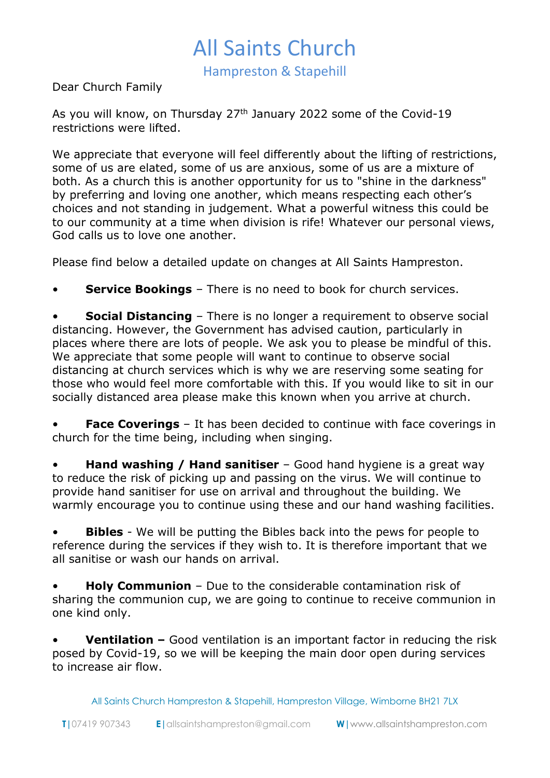## All Saints Church

Hampreston & Stapehill

Dear Church Family

As you will know, on Thursday 27<sup>th</sup> January 2022 some of the Covid-19 restrictions were lifted.

We appreciate that everyone will feel differently about the lifting of restrictions, some of us are elated, some of us are anxious, some of us are a mixture of both. As a church this is another opportunity for us to "shine in the darkness" by preferring and loving one another, which means respecting each other's choices and not standing in judgement. What a powerful witness this could be to our community at a time when division is rife! Whatever our personal views, God calls us to love one another.

Please find below a detailed update on changes at All Saints Hampreston.

• **Service Bookings** – There is no need to book for church services.

**Social Distancing** – There is no longer a requirement to observe social distancing. However, the Government has advised caution, particularly in places where there are lots of people. We ask you to please be mindful of this. We appreciate that some people will want to continue to observe social distancing at church services which is why we are reserving some seating for those who would feel more comfortable with this. If you would like to sit in our socially distanced area please make this known when you arrive at church.

**Face Coverings** – It has been decided to continue with face coverings in church for the time being, including when singing.

**Hand washing / Hand sanitiser** – Good hand hygiene is a great way to reduce the risk of picking up and passing on the virus. We will continue to provide hand sanitiser for use on arrival and throughout the building. We warmly encourage you to continue using these and our hand washing facilities.

**Bibles** - We will be putting the Bibles back into the pews for people to reference during the services if they wish to. It is therefore important that we all sanitise or wash our hands on arrival.

• **Holy Communion** – Due to the considerable contamination risk of sharing the communion cup, we are going to continue to receive communion in one kind only.

• **Ventilation –** Good ventilation is an important factor in reducing the risk posed by Covid-19, so we will be keeping the main door open during services to increase air flow.